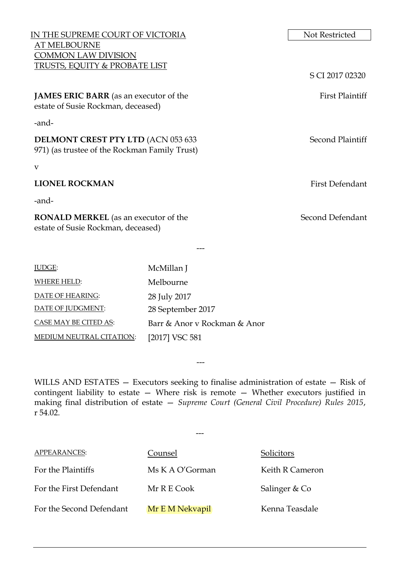| IN THE SUPREME COURT OF VICTORIA                                                           |                   | Not Restricted          |
|--------------------------------------------------------------------------------------------|-------------------|-------------------------|
| <b>AT MELBOURNE</b>                                                                        |                   |                         |
| COMMON LAW DIVISION                                                                        |                   |                         |
| <b>TRUSTS, EQUITY &amp; PROBATE LIST</b>                                                   |                   |                         |
|                                                                                            |                   | S CI 2017 02320         |
| <b>JAMES ERIC BARR</b> (as an executor of the<br>estate of Susie Rockman, deceased)        |                   | <b>First Plaintiff</b>  |
| -and-                                                                                      |                   |                         |
| <b>DELMONT CREST PTY LTD (ACN 053 633</b><br>971) (as trustee of the Rockman Family Trust) |                   | <b>Second Plaintiff</b> |
| V                                                                                          |                   |                         |
| <b>LIONEL ROCKMAN</b>                                                                      |                   | <b>First Defendant</b>  |
| -and-                                                                                      |                   |                         |
| <b>RONALD MERKEL</b> (as an executor of the<br>estate of Susie Rockman, deceased)          |                   | Second Defendant        |
|                                                                                            |                   |                         |
| JUDGE:                                                                                     | McMillan J        |                         |
| <b>WHERE HELD:</b>                                                                         | Melbourne         |                         |
| DATE OF HEARING:                                                                           | 28 July 2017      |                         |
| DATE OF JUDGMENT:                                                                          | 28 September 2017 |                         |

WILLS AND ESTATES — Executors seeking to finalise administration of estate — Risk of contingent liability to estate — Where risk is remote — Whether executors justified in making final distribution of estate — *Supreme Court (General Civil Procedure) Rules 2015*, r 54.02.

---

| <b>APPEARANCES:</b>      | Counsel         | Solicitors      |
|--------------------------|-----------------|-----------------|
| For the Plaintiffs       | Ms K A O'Gorman | Keith R Cameron |
| For the First Defendant  | Mr R E Cook     | Salinger & Co   |
| For the Second Defendant | Mr E M Nekvapil | Kenna Teasdale  |

CASE MAY BE CITED AS: Barr & Anor v Rockman & Anor

MEDIUM NEUTRAL CITATION: [2017] VSC 581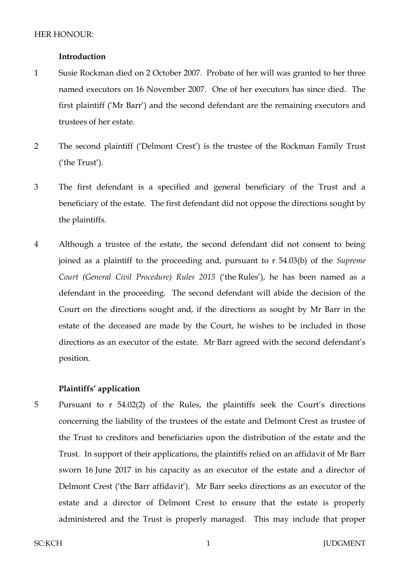## **Introduction**

- 1 Susie Rockman died on 2 October 2007. Probate of her will was granted to her three named executors on 16 November 2007. One of her executors has since died. The first plaintiff ('Mr Barr') and the second defendant are the remaining executors and trustees of her estate.
- 2 The second plaintiff ('Delmont Crest') is the trustee of the Rockman Family Trust ('the Trust').
- 3 The first defendant is a specified and general beneficiary of the Trust and a beneficiary of the estate. The first defendant did not oppose the directions sought by the plaintiffs.
- 4 Although a trustee of the estate, the second defendant did not consent to being joined as a plaintiff to the proceeding and, pursuant to r 54.03(b) of the *Supreme Court (General Civil Procedure) Rules 2015* ('the Rules'), he has been named as a defendant in the proceeding. The second defendant will abide the decision of the Court on the directions sought and, if the directions as sought by Mr Barr in the estate of the deceased are made by the Court, he wishes to be included in those directions as an executor of the estate. Mr Barr agreed with the second defendant's position.

# **Plaintiffs' application**

5 Pursuant to r 54.02(2) of the Rules, the plaintiffs seek the Court's directions concerning the liability of the trustees of the estate and Delmont Crest as trustee of the Trust to creditors and beneficiaries upon the distribution of the estate and the Trust. In support of their applications, the plaintiffs relied on an affidavit of Mr Barr sworn 16 June 2017 in his capacity as an executor of the estate and a director of Delmont Crest ('the Barr affidavit'). Mr Barr seeks directions as an executor of the estate and a director of Delmont Crest to ensure that the estate is properly administered and the Trust is properly managed. This may include that proper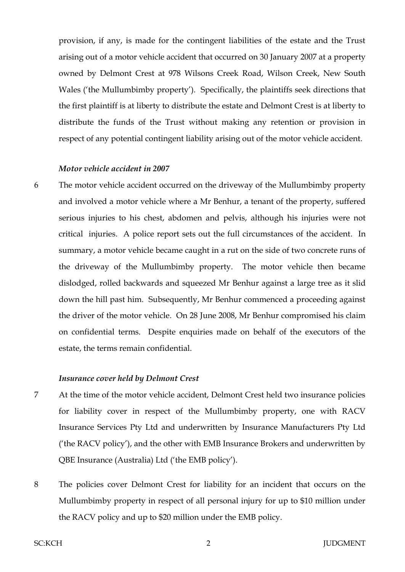provision, if any, is made for the contingent liabilities of the estate and the Trust arising out of a motor vehicle accident that occurred on 30 January 2007 at a property owned by Delmont Crest at 978 Wilsons Creek Road, Wilson Creek, New South Wales ('the Mullumbimby property'). Specifically, the plaintiffs seek directions that the first plaintiff is at liberty to distribute the estate and Delmont Crest is at liberty to distribute the funds of the Trust without making any retention or provision in respect of any potential contingent liability arising out of the motor vehicle accident.

## *Motor vehicle accident in 2007*

6 The motor vehicle accident occurred on the driveway of the Mullumbimby property and involved a motor vehicle where a Mr Benhur, a tenant of the property, suffered serious injuries to his chest, abdomen and pelvis, although his injuries were not critical injuries. A police report sets out the full circumstances of the accident. In summary, a motor vehicle became caught in a rut on the side of two concrete runs of the driveway of the Mullumbimby property. The motor vehicle then became dislodged, rolled backwards and squeezed Mr Benhur against a large tree as it slid down the hill past him. Subsequently, Mr Benhur commenced a proceeding against the driver of the motor vehicle. On 28 June 2008, Mr Benhur compromised his claim on confidential terms. Despite enquiries made on behalf of the executors of the estate, the terms remain confidential.

#### *Insurance cover held by Delmont Crest*

- 7 At the time of the motor vehicle accident, Delmont Crest held two insurance policies for liability cover in respect of the Mullumbimby property, one with RACV Insurance Services Pty Ltd and underwritten by Insurance Manufacturers Pty Ltd ('the RACV policy'), and the other with EMB Insurance Brokers and underwritten by QBE Insurance (Australia) Ltd ('the EMB policy').
- 8 The policies cover Delmont Crest for liability for an incident that occurs on the Mullumbimby property in respect of all personal injury for up to \$10 million under the RACV policy and up to \$20 million under the EMB policy.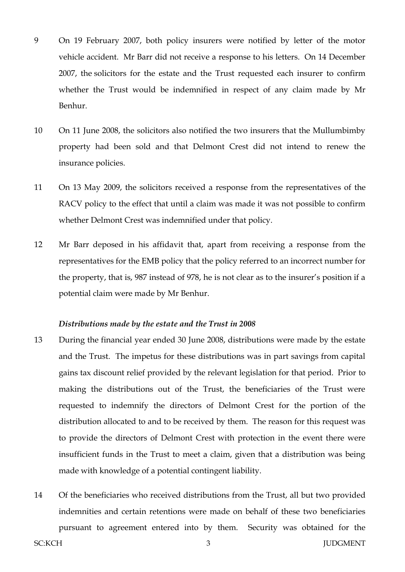- 9 On 19 February 2007, both policy insurers were notified by letter of the motor vehicle accident. Mr Barr did not receive a response to his letters. On 14 December 2007, the solicitors for the estate and the Trust requested each insurer to confirm whether the Trust would be indemnified in respect of any claim made by Mr Benhur.
- 10 On 11 June 2008, the solicitors also notified the two insurers that the Mullumbimby property had been sold and that Delmont Crest did not intend to renew the insurance policies.
- 11 On 13 May 2009, the solicitors received a response from the representatives of the RACV policy to the effect that until a claim was made it was not possible to confirm whether Delmont Crest was indemnified under that policy.
- 12 Mr Barr deposed in his affidavit that, apart from receiving a response from the representatives for the EMB policy that the policy referred to an incorrect number for the property, that is, 987 instead of 978, he is not clear as to the insurer's position if a potential claim were made by Mr Benhur.

#### *Distributions made by the estate and the Trust in 2008*

- 13 During the financial year ended 30 June 2008, distributions were made by the estate and the Trust. The impetus for these distributions was in part savings from capital gains tax discount relief provided by the relevant legislation for that period. Prior to making the distributions out of the Trust, the beneficiaries of the Trust were requested to indemnify the directors of Delmont Crest for the portion of the distribution allocated to and to be received by them. The reason for this request was to provide the directors of Delmont Crest with protection in the event there were insufficient funds in the Trust to meet a claim, given that a distribution was being made with knowledge of a potential contingent liability.
- 14 Of the beneficiaries who received distributions from the Trust, all but two provided indemnities and certain retentions were made on behalf of these two beneficiaries pursuant to agreement entered into by them. Security was obtained for the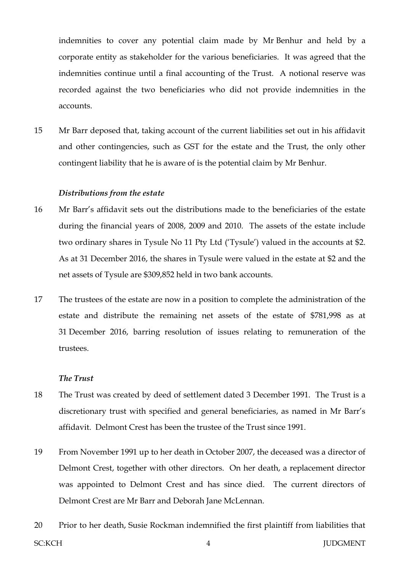indemnities to cover any potential claim made by Mr Benhur and held by a corporate entity as stakeholder for the various beneficiaries. It was agreed that the indemnities continue until a final accounting of the Trust. A notional reserve was recorded against the two beneficiaries who did not provide indemnities in the accounts.

15 Mr Barr deposed that, taking account of the current liabilities set out in his affidavit and other contingencies, such as GST for the estate and the Trust, the only other contingent liability that he is aware of is the potential claim by Mr Benhur.

#### *Distributions from the estate*

- 16 Mr Barr's affidavit sets out the distributions made to the beneficiaries of the estate during the financial years of 2008, 2009 and 2010. The assets of the estate include two ordinary shares in Tysule No 11 Pty Ltd ('Tysule') valued in the accounts at \$2. As at 31 December 2016, the shares in Tysule were valued in the estate at \$2 and the net assets of Tysule are \$309,852 held in two bank accounts.
- 17 The trustees of the estate are now in a position to complete the administration of the estate and distribute the remaining net assets of the estate of \$781,998 as at 31 December 2016, barring resolution of issues relating to remuneration of the trustees.

## *The Trust*

- 18 The Trust was created by deed of settlement dated 3 December 1991. The Trust is a discretionary trust with specified and general beneficiaries, as named in Mr Barr's affidavit. Delmont Crest has been the trustee of the Trust since 1991.
- 19 From November 1991 up to her death in October 2007, the deceased was a director of Delmont Crest, together with other directors. On her death, a replacement director was appointed to Delmont Crest and has since died. The current directors of Delmont Crest are Mr Barr and Deborah Jane McLennan.
- SC:KCH JUDGMENT 20 Prior to her death, Susie Rockman indemnified the first plaintiff from liabilities that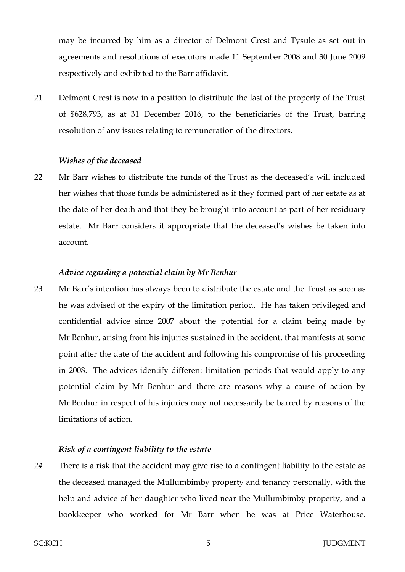may be incurred by him as a director of Delmont Crest and Tysule as set out in agreements and resolutions of executors made 11 September 2008 and 30 June 2009 respectively and exhibited to the Barr affidavit.

21 Delmont Crest is now in a position to distribute the last of the property of the Trust of \$628,793, as at 31 December 2016, to the beneficiaries of the Trust, barring resolution of any issues relating to remuneration of the directors.

## *Wishes of the deceased*

22 Mr Barr wishes to distribute the funds of the Trust as the deceased's will included her wishes that those funds be administered as if they formed part of her estate as at the date of her death and that they be brought into account as part of her residuary estate. Mr Barr considers it appropriate that the deceased's wishes be taken into account.

#### *Advice regarding a potential claim by Mr Benhur*

23 Mr Barr's intention has always been to distribute the estate and the Trust as soon as he was advised of the expiry of the limitation period. He has taken privileged and confidential advice since 2007 about the potential for a claim being made by Mr Benhur, arising from his injuries sustained in the accident, that manifests at some point after the date of the accident and following his compromise of his proceeding in 2008. The advices identify different limitation periods that would apply to any potential claim by Mr Benhur and there are reasons why a cause of action by Mr Benhur in respect of his injuries may not necessarily be barred by reasons of the limitations of action.

#### *Risk of a contingent liability to the estate*

*24* There is a risk that the accident may give rise to a contingent liability to the estate as the deceased managed the Mullumbimby property and tenancy personally, with the help and advice of her daughter who lived near the Mullumbimby property, and a bookkeeper who worked for Mr Barr when he was at Price Waterhouse.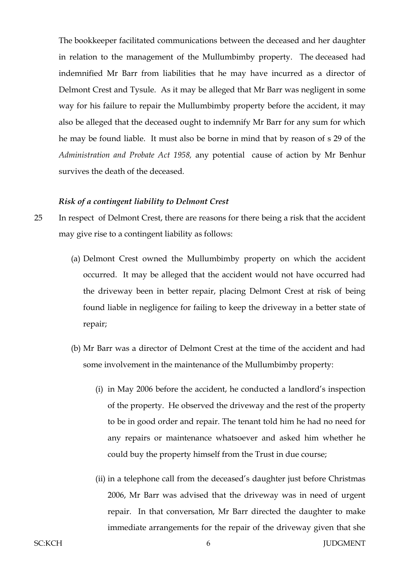The bookkeeper facilitated communications between the deceased and her daughter in relation to the management of the Mullumbimby property. The deceased had indemnified Mr Barr from liabilities that he may have incurred as a director of Delmont Crest and Tysule. As it may be alleged that Mr Barr was negligent in some way for his failure to repair the Mullumbimby property before the accident, it may also be alleged that the deceased ought to indemnify Mr Barr for any sum for which he may be found liable. It must also be borne in mind that by reason of s 29 of the *Administration and Probate Act 1958,* any potential cause of action by Mr Benhur survives the death of the deceased*.*

#### *Risk of a contingent liability to Delmont Crest*

- 25 In respect of Delmont Crest, there are reasons for there being a risk that the accident may give rise to a contingent liability as follows:
	- (a) Delmont Crest owned the Mullumbimby property on which the accident occurred. It may be alleged that the accident would not have occurred had the driveway been in better repair, placing Delmont Crest at risk of being found liable in negligence for failing to keep the driveway in a better state of repair;
	- (b) Mr Barr was a director of Delmont Crest at the time of the accident and had some involvement in the maintenance of the Mullumbimby property:
		- (i) in May 2006 before the accident, he conducted a landlord's inspection of the property. He observed the driveway and the rest of the property to be in good order and repair. The tenant told him he had no need for any repairs or maintenance whatsoever and asked him whether he could buy the property himself from the Trust in due course;
		- (ii) in a telephone call from the deceased's daughter just before Christmas 2006, Mr Barr was advised that the driveway was in need of urgent repair. In that conversation, Mr Barr directed the daughter to make immediate arrangements for the repair of the driveway given that she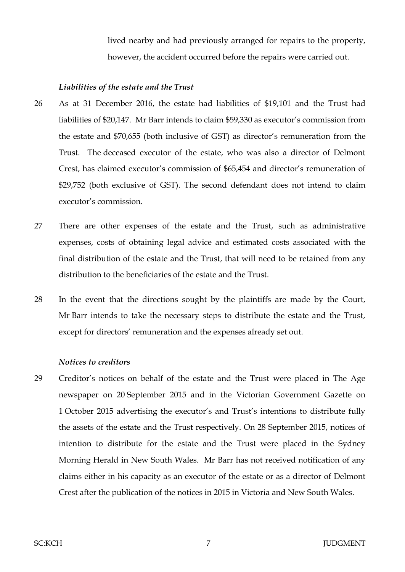lived nearby and had previously arranged for repairs to the property, however, the accident occurred before the repairs were carried out.

## *Liabilities of the estate and the Trust*

- 26 As at 31 December 2016, the estate had liabilities of \$19,101 and the Trust had liabilities of \$20,147. Mr Barr intends to claim \$59,330 as executor's commission from the estate and \$70,655 (both inclusive of GST) as director's remuneration from the Trust. The deceased executor of the estate, who was also a director of Delmont Crest, has claimed executor's commission of \$65,454 and director's remuneration of \$29,752 (both exclusive of GST). The second defendant does not intend to claim executor's commission.
- 27 There are other expenses of the estate and the Trust, such as administrative expenses, costs of obtaining legal advice and estimated costs associated with the final distribution of the estate and the Trust, that will need to be retained from any distribution to the beneficiaries of the estate and the Trust.
- 28 In the event that the directions sought by the plaintiffs are made by the Court, Mr Barr intends to take the necessary steps to distribute the estate and the Trust, except for directors' remuneration and the expenses already set out.

## *Notices to creditors*

29 Creditor's notices on behalf of the estate and the Trust were placed in The Age newspaper on 20 September 2015 and in the Victorian Government Gazette on 1 October 2015 advertising the executor's and Trust's intentions to distribute fully the assets of the estate and the Trust respectively. On 28 September 2015, notices of intention to distribute for the estate and the Trust were placed in the Sydney Morning Herald in New South Wales. Mr Barr has not received notification of any claims either in his capacity as an executor of the estate or as a director of Delmont Crest after the publication of the notices in 2015 in Victoria and New South Wales.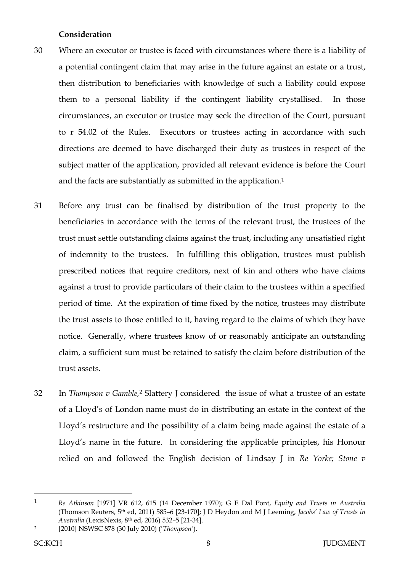# **Consideration**

- 30 Where an executor or trustee is faced with circumstances where there is a liability of a potential contingent claim that may arise in the future against an estate or a trust, then distribution to beneficiaries with knowledge of such a liability could expose them to a personal liability if the contingent liability crystallised. In those circumstances, an executor or trustee may seek the direction of the Court, pursuant to r 54.02 of the Rules. Executors or trustees acting in accordance with such directions are deemed to have discharged their duty as trustees in respect of the subject matter of the application, provided all relevant evidence is before the Court and the facts are substantially as submitted in the application.<sup>1</sup>
- 31 Before any trust can be finalised by distribution of the trust property to the beneficiaries in accordance with the terms of the relevant trust, the trustees of the trust must settle outstanding claims against the trust, including any unsatisfied right of indemnity to the trustees. In fulfilling this obligation, trustees must publish prescribed notices that require creditors, next of kin and others who have claims against a trust to provide particulars of their claim to the trustees within a specified period of time. At the expiration of time fixed by the notice, trustees may distribute the trust assets to those entitled to it, having regard to the claims of which they have notice. Generally, where trustees know of or reasonably anticipate an outstanding claim, a sufficient sum must be retained to satisfy the claim before distribution of the trust assets.
- 32 In *Thompson v Gamble*,<sup>2</sup> Slattery J considered the issue of what a trustee of an estate of a Lloyd's of London name must do in distributing an estate in the context of the Lloyd's restructure and the possibility of a claim being made against the estate of a Lloyd's name in the future. In considering the applicable principles, his Honour relied on and followed the English decision of Lindsay J in *Re Yorke; Stone v*

 $\overline{a}$ 

<sup>1</sup> *Re Atkinson* [1971] VR 612, 615 (14 December 1970); G E Dal Pont, *Equity and Trusts in Australia*  (Thomson Reuters, 5 th ed, 2011) 585–6 [23-170]; J D Heydon and M J Leeming, *Jacobs' Law of Trusts in Australia* (LexisNexis, 8th ed, 2016) 532–5 [21-34].

<sup>2</sup> [2010] NSWSC 878 (30 July 2010) ('*Thompson'*).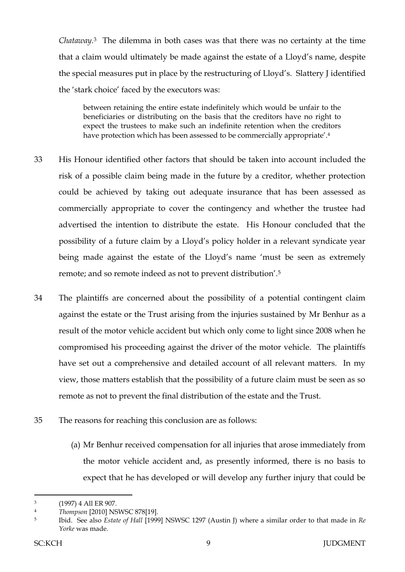*Chataway.* <sup>3</sup> The dilemma in both cases was that there was no certainty at the time that a claim would ultimately be made against the estate of a Lloyd's name, despite the special measures put in place by the restructuring of Lloyd's. Slattery J identified the 'stark choice' faced by the executors was:

between retaining the entire estate indefinitely which would be unfair to the beneficiaries or distributing on the basis that the creditors have no right to expect the trustees to make such an indefinite retention when the creditors have protection which has been assessed to be commercially appropriate'.<sup>4</sup>

- 33 His Honour identified other factors that should be taken into account included the risk of a possible claim being made in the future by a creditor, whether protection could be achieved by taking out adequate insurance that has been assessed as commercially appropriate to cover the contingency and whether the trustee had advertised the intention to distribute the estate. His Honour concluded that the possibility of a future claim by a Lloyd's policy holder in a relevant syndicate year being made against the estate of the Lloyd's name 'must be seen as extremely remote; and so remote indeed as not to prevent distribution'.<sup>5</sup>
- 34 The plaintiffs are concerned about the possibility of a potential contingent claim against the estate or the Trust arising from the injuries sustained by Mr Benhur as a result of the motor vehicle accident but which only come to light since 2008 when he compromised his proceeding against the driver of the motor vehicle. The plaintiffs have set out a comprehensive and detailed account of all relevant matters. In my view, those matters establish that the possibility of a future claim must be seen as so remote as not to prevent the final distribution of the estate and the Trust.
- 35 The reasons for reaching this conclusion are as follows:
	- (a) Mr Benhur received compensation for all injuries that arose immediately from the motor vehicle accident and, as presently informed, there is no basis to expect that he has developed or will develop any further injury that could be

 $\overline{a}$ 

<sup>3</sup> (1997) 4 All ER 907.

<sup>4</sup> *Thompson* [2010] NSWSC 878[19].

<sup>5</sup> Ibid. See also *Estate of Hall* [1999] NSWSC 1297 (Austin J) where a similar order to that made in *Re Yorke* was made.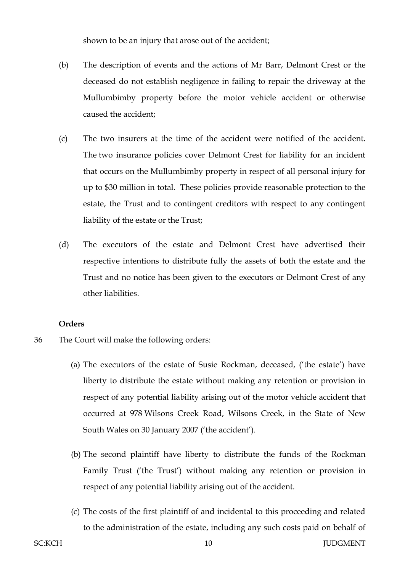shown to be an injury that arose out of the accident;

- (b) The description of events and the actions of Mr Barr, Delmont Crest or the deceased do not establish negligence in failing to repair the driveway at the Mullumbimby property before the motor vehicle accident or otherwise caused the accident;
- (c) The two insurers at the time of the accident were notified of the accident. The two insurance policies cover Delmont Crest for liability for an incident that occurs on the Mullumbimby property in respect of all personal injury for up to \$30 million in total. These policies provide reasonable protection to the estate, the Trust and to contingent creditors with respect to any contingent liability of the estate or the Trust;
- (d) The executors of the estate and Delmont Crest have advertised their respective intentions to distribute fully the assets of both the estate and the Trust and no notice has been given to the executors or Delmont Crest of any other liabilities.

## **Orders**

- 36 The Court will make the following orders:
	- (a) The executors of the estate of Susie Rockman, deceased, ('the estate') have liberty to distribute the estate without making any retention or provision in respect of any potential liability arising out of the motor vehicle accident that occurred at 978 Wilsons Creek Road, Wilsons Creek, in the State of New South Wales on 30 January 2007 ('the accident').
	- (b) The second plaintiff have liberty to distribute the funds of the Rockman Family Trust ('the Trust') without making any retention or provision in respect of any potential liability arising out of the accident.
	- (c) The costs of the first plaintiff of and incidental to this proceeding and related to the administration of the estate, including any such costs paid on behalf of